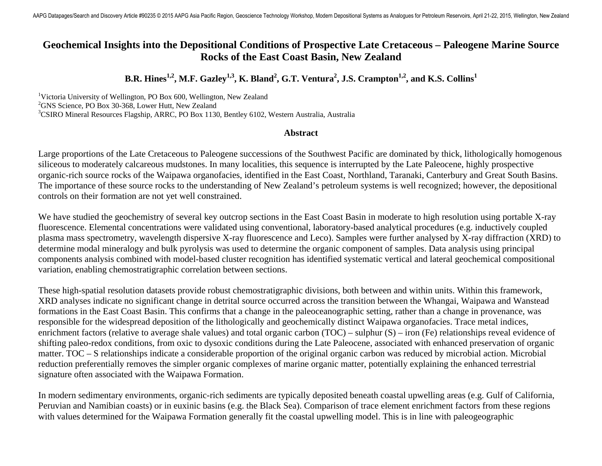## **Geochemical Insights into the Depositional Conditions of Prospective Late Cretaceous – Paleogene Marine Source Rocks of the East Coast Basin, New Zealand**

## **B.R. Hines<sup>1,2</sup>, M.F. Gazley<sup>1,3</sup>, K. Bland<sup>2</sup>, G.T. Ventura<sup>2</sup>, J.S. Crampton<sup>1,2</sup>, and K.S. Collins<sup>1</sup>**

<sup>1</sup>Victoria University of Wellington, PO Box 600, Wellington, New Zealand  ${}^{2}$ GNS Science, PO Box 30-368, Lower Hutt, New Zealand <sup>3</sup>CSIRO Mineral Resources Flagship, ARRC, PO Box 1130, Bentley 6102, Western Australia, Australia

## **Abstract**

Large proportions of the Late Cretaceous to Paleogene successions of the Southwest Pacific are dominated by thick, lithologically homogenous siliceous to moderately calcareous mudstones. In many localities, this sequence is interrupted by the Late Paleocene, highly prospective organic-rich source rocks of the Waipawa organofacies, identified in the East Coast, Northland, Taranaki, Canterbury and Great South Basins. The importance of these source rocks to the understanding of New Zealand's petroleum systems is well recognized; however, the depositional controls on their formation are not yet well constrained.

We have studied the geochemistry of several key outcrop sections in the East Coast Basin in moderate to high resolution using portable X-ray fluorescence. Elemental concentrations were validated using conventional, laboratory-based analytical procedures (e.g. inductively coupled plasma mass spectrometry, wavelength dispersive X-ray fluorescence and Leco). Samples were further analysed by X-ray diffraction (XRD) to determine modal mineralogy and bulk pyrolysis was used to determine the organic component of samples. Data analysis using principal components analysis combined with model-based cluster recognition has identified systematic vertical and lateral geochemical compositional variation, enabling chemostratigraphic correlation between sections.

These high-spatial resolution datasets provide robust chemostratigraphic divisions, both between and within units. Within this framework, XRD analyses indicate no significant change in detrital source occurred across the transition between the Whangai, Waipawa and Wanstead formations in the East Coast Basin. This confirms that a change in the paleoceanographic setting, rather than a change in provenance, was responsible for the widespread deposition of the lithologically and geochemically distinct Waipawa organofacies. Trace metal indices, enrichment factors (relative to average shale values) and total organic carbon (TOC) – sulphur (S) – iron (Fe) relationships reveal evidence of shifting paleo-redox conditions, from oxic to dysoxic conditions during the Late Paleocene, associated with enhanced preservation of organic matter. TOC – S relationships indicate a considerable proportion of the original organic carbon was reduced by microbial action. Microbial reduction preferentially removes the simpler organic complexes of marine organic matter, potentially explaining the enhanced terrestrial signature often associated with the Waipawa Formation.

In modern sedimentary environments, organic-rich sediments are typically deposited beneath coastal upwelling areas (e.g. Gulf of California, Peruvian and Namibian coasts) or in euxinic basins (e.g. the Black Sea). Comparison of trace element enrichment factors from these regions with values determined for the Waipawa Formation generally fit the coastal upwelling model. This is in line with paleogeographic